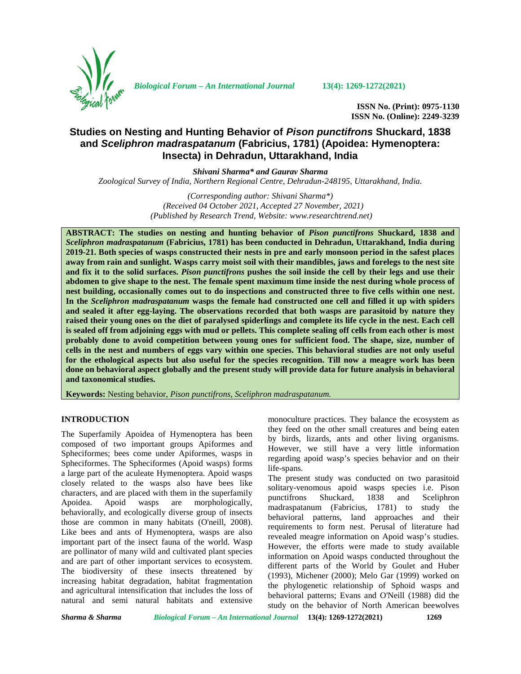

*Biological Forum – An International Journal* **13(4): 1269-1272(2021)**

**ISSN No. (Print): 0975-1130 ISSN No. (Online): 2249-3239**

# **Studies on Nesting and Hunting Behavior of** *Pison punctifrons* **Shuckard, 1838 and** *Sceliphron madraspatanum* **(Fabricius, 1781) (Apoidea: Hymenoptera: Insecta) in Dehradun, Uttarakhand, India**

*Shivani Sharma\* and Gaurav Sharma*

*Zoological Survey of India, Northern Regional Centre, Dehradun-248195, Uttarakhand, India.*

*(Corresponding author: Shivani Sharma\*) (Received 04 October 2021, Accepted 27 November, 2021) (Published by Research Trend, Website: <www.researchtrend.net>)*

**ABSTRACT: The studies on nesting and hunting behavior of** *Pison punctifrons* **Shuckard, 1838 and** *Sceliphron madraspatanum* **(Fabricius, 1781) has been conducted in Dehradun, Uttarakhand, India during 2019-21. Both species of wasps constructed their nests in pre and early monsoon period in the safest places away from rain and sunlight. Wasps carry moist soil with their mandibles, jaws and forelegs to the nest site and fix it to the solid surfaces.** *Pison punctifrons* **pushes the soil inside the cell by their legs and use their abdomen to give shape to the nest. The female spent maximum time inside the nest during whole process of nest building, occasionally comes out to do inspections and constructed three to five cells within one nest. In the** *Sceliphron madraspatanum* **wasps the female had constructed one cell and filled it up with spiders and sealed it after egg-laying. The observations recorded that both wasps are parasitoid by nature they raised their young ones on the diet of paralysed spiderlings and complete its life cycle in the nest. Each cell is sealed off from adjoining eggs with mud or pellets. This complete sealing off cells from each other is most probably done to avoid competition between young ones for sufficient food. The shape, size, number of cells in the nest and numbers of eggs vary within one species. This behavioral studies are not only useful for the ethological aspects but also useful for the species recognition. Till now a meagre work has been done on behavioral aspect globally and the present study will provide data for future analysis in behavioral and taxonomical studies.**

**Keywords:** Nesting behavior, *Pison punctifrons, Sceliphron madraspatanum.*

#### **INTRODUCTION**

The Superfamily Apoidea of Hymenoptera has been composed of two important groups Apiformes and Spheciformes; bees come under Apiformes, wasps in Spheciformes. The Spheciformes (Apoid wasps) forms a large part of the aculeate Hymenoptera. Apoid wasps closely related to the wasps also have bees like characters, and are placed with them in the superfamily punctifrons Apoidea. Apoid wasps are morphologically, behaviorally, and ecologically diverse group of insects those are common in many habitats (O'neill, 2008). Like bees and ants of Hymenoptera, wasps are also important part of the insect fauna of the world. Wasp are pollinator of many wild and cultivated plant species and are part of other important services to ecosystem. The biodiversity of these insects threatened by increasing habitat degradation, habitat fragmentation and agricultural intensification that includes the loss of natural and semi natural habitats and extensive

monoculture practices. They balance the ecosystem as they feed on the other small creatures and being eaten by birds, lizards, ants and other living organisms. However, we still have a very little information regarding apoid wasp's species behavior and on their life-spans.

The present study was conducted on two parasitoid solitary-venomous apoid wasps species i.e. Pison Shuckard, 1838 and Sceliphron madraspatanum (Fabricius, 1781) to study the behavioral patterns, land approaches and their requirements to form nest. Perusal of literature had revealed meagre information on Apoid wasp's studies. However, the efforts were made to study available information on Apoid wasps conducted throughout the different parts of the World by Goulet and Huber (1993), Michener (2000); Melo Gar (1999) worked on the phylogenetic relationship of Sphoid wasps and behavioral patterns; Evans and O'Neill (1988) did the study on the behavior of North American beewolves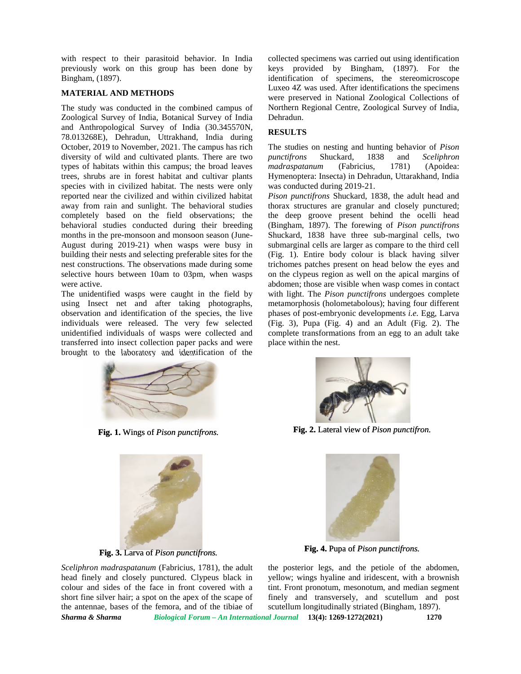with respect to their parasitoid behavior. In India previously work on this group has been done by Bingham, (1897).

# **MATERIAL AND METHODS**

The study was conducted in the combined campus of Zoological Survey of India, Botanical Survey of India and Anthropological Survey of India (30.345570N, 78.013268E), Dehradun, Uttrakhand, India during October, 2019 to November, 2021. The campus has rich diversity of wild and cultivated plants. There are two punc types of habitats within this campus; the broad leaves types of habitats within this campus; the broad leaves metrees, shrubs are in forest habitat and cultivar plants Hy species with in civilized habitat. The nests were only reported near the civilized and within civilized habitat away from rain and sunlight. The behavioral studies completely based on the field observations; the behavioral studies conducted during their breeding months in the pre-monsoon and monsoon season (June- August during 2019-21) when wasps were busy in building their nests and selecting preferable sites for the (Fig. nest constructions. The observations made during some selective hours between 10am to 03pm, when wasps were active. **INTERTAL AND METHOUSE CONSULT CONSULT ARE SET AND ARREST INTO A REAL APPROXIMATELY AND METHODS IS the CAMPUS CONSULTER THE STAR CONSULTER THE STAR CONSULTER CONSULTER THE STAR CONSULTER CONSULTER CONSULTER CONSULTER CONSU** away from rain and sunlight. The behavioral studies thore<br>completely based on the field observations; the the<br>behavioral studies conducted during their breeding (Bin months in the pre-monsoon and monsoon season (Ju<br>August during 2019-21) when wasps were busy<br>building their nests and selecting preferable sites for<br>nest constructions. The observations made during so<br>selective hours betwe with respect to their parastion behavior. In India collected speciency as carried out using identification of the remotency of the laboration of the magnitudinal of the magnitudinal of the sereo most specification of the

The unidentified wasps were caught in the field by with using Insect net and after taking photographs, observation and identification of the species, the live individuals were released. The very few selected unidentified individuals of wasps were collected and transferred into insect collection paper packs and were brought to the laboratory and identification of the

collected specimens was carried out using identification keys provided by Bingham, (1897). For the identification of specimens, the stereomicroscope Luxeo 4Z was used. After identifications the specimens were preserved in National Zoological Collections of Northern Regional Centre, Zoological Survey of India, Dehradun. identification of specimens, the stereomicroscope<br>Luxeo 4Z was used. After identifications the specimens<br>were preserved in National Zoological Collections of<br>Northern Regional Centre, Zoological Survey of India,

# **RESULTS RESULTS**

The studies on nesting and hunting behavior of *Pison punctifrons* Shuckard, 1838 and *Sceliphron madraspatanum* (Fabricius, 1781) (Apoidea: Hymenoptera: Insecta) in Dehradun, Uttarakhand, India was conducted during 2019-21. *tifrons* Shuckard, 1838 and *Scelip*<br> *raspatanum* (Fabricius, 1781) (Apc<br>
eenoptera: Insecta) in Dehradun, Uttarakhand,<br>
conducted during 2019-21.

*Pison punctifrons* Shuckard, 1838, the adult head and *Pison punctifrons* Shuckard, 1838, the adult head and thorax structures are granular and closely punctured; the deep groove present behind the ocelli head (Bingham, 1897). The forewing of *Pison punctifrons* Shuckard, 1838 have three sub-marginal cells, two submarginal cells are larger as compare to the third cell (Fig. 1). Entire body colour is black having silver trichomes patches present on head below the eyes and on the clypeus region as well on the apical margins of abdomen; those are visible when wasp comes in contact with light. The *Pison punctifrons* undergoes complete *Pison* metamorphosis (holometabolous); having four different phases of post-embryonic developments *i.e.* Egg, Larva (Fig. 3), Pupa (Fig. 4) and an Adult (Fig. 2). The complete transformations from an egg to an adult take place within the nest. marginal cells are larger as compare to the third cell<br>g. 1). Entire body colour is black having silver<br>homes patches present on head below the eyes and<br>the clypeus region as well on the apical margins of<br>lomen; those are metamorphosis (holometabolous); having four different<br>phases of post-embryonic developments *i.e.* Egg, Larva<br>(Fig. 3), Pupa (Fig. 4) and an Adult (Fig. 2). The and cultivar plants in the main current insect and the producted and within critical babitat. The nests were only was conducted daring 2019-21.<br>
and habitat. The nests were only was conducted daring 2019-21.<br>
and which cr





*Sceliphron madraspatanum* (Fabricius, 1781), the adult head finely and closely punctured. Clypeus black in colour and sides of the face in front covered with a short fine silver hair; a spot on the apex of the scape of the antennae, bases of the femora, and of the tibiae of head finely and closely punctured. Clypeus black in yellow; wings hyaline and iridescent, with a brownish colour and sides of the face in front covered with a tint. Front pronotum, mesonotum, and median segment short fine



**Fig. 1.** Wings of *Pison punctifrons*. **Fig. 2.** Lateral view of *Pison punctifron.* 



**Fig. 3.** Larva of *Pison punctifrons.* **Fig. 4.** Pupa of *Pison punctifrons.*

Fig. 3. Larva of *Pison punctifrons*.<br> *madraspatanum* (Fabricius, 1781), the adult the posterior legs, and the petiole of the abdomen, yellow; wings hyaline and iridescent, with a brownish tint. Front pronotum, mesonotum, and median segment finely and transversely, and scutellum and post scutellum longitudinally striated (Bingham, 1897).

*Sharma & Sharma Biological Forum – An International Journal* **13(4): 1269-1272(2021) 1270**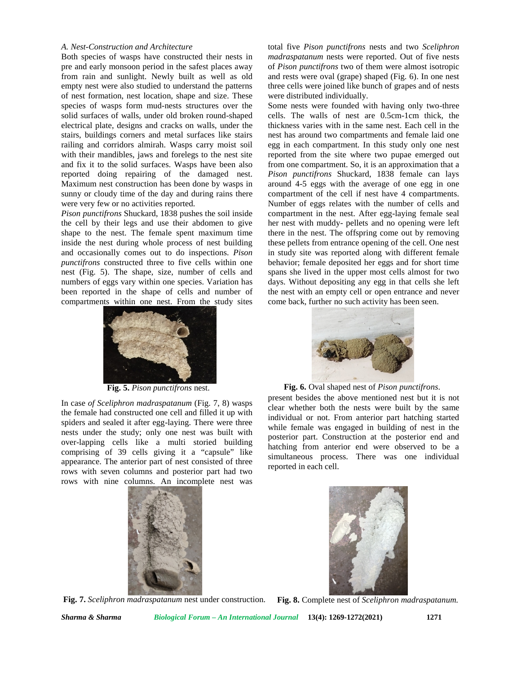#### *A. Nest-Construction and Architecture*

Both species of wasps have constructed their nests in pre and early monsoon period in the safest places away from rain and sunlight. Newly built as well as old empty nest were also studied to understand the patterns of nest formation, nest location, shape and size. These species of wasps form mud-nests structures over the solid surfaces of walls, under old broken round-shaped electrical plate, designs and cracks on walls, under the stairs, buildings corners and metal surfaces like stairs railing and corridors almirah. Wasps carry moist soil with their mandibles, jaws and forelegs to the nest site and fix it to the solid surfaces. Wasps have been also reported doing repairing of the damaged nest. Maximum nest construction has been done by wasps in sunny or cloudy time of the day and during rains there were very few or no activities reported.

*Pison punctifrons* Shuckard, 1838 pushes the soil inside the cell by their legs and use their abdomen to give shape to the nest. The female spent maximum time inside the nest during whole process of nest building and occasionally comes out to do inspections. *Pison punctifrons* constructed three to five cells within one nest (Fig. 5). The shape, size, number of cells and numbers of eggs vary within one species. Variation has been reported in the shape of cells and number of compartments within one nest. From the study sites

total five *Pison punctifrons* nests and two *Sceliphron madraspatanum* nests were reported. Out of five nests of *Pison punctifrons* two of them were almost isotropic and rests were oval (grape) shaped (Fig. 6). In one nest three cells were joined like bunch of grapes and of nests were distributed individually.

Some nests were founded with having only two-three cells. The walls of nest are 0.5cm-1cm thick, the thickness varies with in the same nest. Each cell in the nest has around two compartments and female laid one egg in each compartment. In this study only one nest reported from the site where two pupae emerged out from one compartment. So, it is an approximation that a *Pison punctifrons* Shuckard, 1838 female can lays around 4-5 eggs with the average of one egg in one compartment of the cell if nest have 4 compartments. Number of eggs relates with the number of cells and compartment in the nest. After egg-laying female seal her nest with muddy- pellets and no opening were left there in the nest. The offspring come out by removing these pellets from entrance opening of the cell. One nest in study site was reported along with different female behavior; female deposited her eggs and for short time spans she lived in the upper most cells almost for two days. Without depositing any egg in that cells she left the nest with an empty cell or open entrance and never come back, further no such activity has been seen.



In case *of Sceliphron madraspatanum* (Fig. 7, 8) wasps the female had constructed one cell and filled it up with spiders and sealed it after egg-laying. There were three nests under the study; only one nest was built with over-lapping cells like a multi storied building comprising of 39 cells giving it a "capsule" like appearance. The anterior part of nest consisted of three rows with seven columns and posterior part had two rows with nine columns. An incomplete nest was





**Fig. 5.** *Pison punctifrons* nest. **Fig. 6.** Oval shaped nest of *Pison punctifrons*.

present besides the above mentioned nest but it is not clear whether both the nests were built by the same individual or not. From anterior part hatching started while female was engaged in building of nest in the posterior part. Construction at the posterior end and hatching from anterior end were observed to be a simultaneous process. There was one individual reported in each cell.



**Fig. 7.** *Sceliphron madraspatanum* nest under construction. **Fig. 8.** Complete nest of *Sceliphron madraspatanum.*